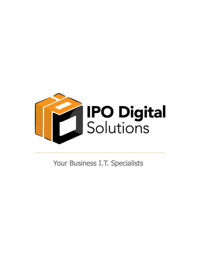

Your Business I.T. Specialists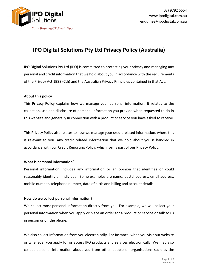

# **IPO Digital Solutions Pty Ltd Privacy Policy (Australia)**

IPO Digital Solutions Pty Ltd (IPO) is committed to protecting your privacy and managing any personal and credit information that we hold about you in accordance with the requirements of the Privacy Act 1988 (Cth) and the Australian Privacy Principles contained in that Act.

## **About this policy**

This Privacy Policy explains how we manage your personal information. It relates to the collection, use and disclosure of personal information you provide when requested to do in this website and generally in connection with a product or service you have asked to receive.

This Privacy Policy also relates to how we manage your credit related information, where this is relevant to you. Any credit related information that we hold about you is handled in accordance with our Credit Reporting Policy, which forms part of our Privacy Policy.

#### **What is personal information?**

Personal information includes any information or an opinion that identifies or could reasonably identify an individual. Some examples are name, postal address, email address, mobile number, telephone number, date of birth and billing and account details.

# **How do we collect personal information?**

We collect most personal information directly from you. For example, we will collect your personal information when you apply or place an order for a product or service or talk to us in person or on the phone.

We also collect information from you electronically. For instance, when you visit our website or whenever you apply for or access IPO products and services electronically. We may also collect personal information about you from other people or organisations such as the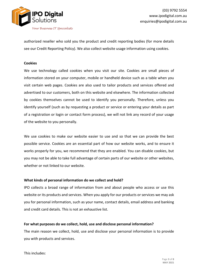

authorized reseller who sold you the product and credit reporting bodies (for more details see our Credit Reporting Policy). We also collect website usage information using cookies.

#### **Cookies**

We use technology called cookies when you visit our site. Cookies are small pieces of information stored on your computer, mobile or handheld device such as a table when you visit certain web pages. Cookies are also used to tailor products and services offered and advertised to our customers, both on this website and elsewhere. The information collected by cookies themselves cannot be used to identify you personally. Therefore, unless you identify yourself (such as by requesting a product or service or entering your details as part of a registration or login or contact form process), we will not link any record of your usage of the website to you personally.

We use cookies to make our website easier to use and so that we can provide the best possible service. Cookies are an essential part of how our website works, and to ensure it works properly for you, we recommend that they are enabled. You can disable cookies, but you may not be able to take full advantage of certain parts of our website or other websites, whether or not linked to our website.

#### **What kinds of personal information do we collect and hold?**

IPO collects a broad range of information from and about people who access or use this website or its products and services. When you apply for our products or services we may ask you for personal information, such as your name, contact details, email address and banking and credit card details. This is not an exhaustive list.

#### **For what purposes do we collect, hold, use and disclose personal information?**

The main reason we collect, hold, use and disclose your personal information is to provide you with products and services.

This includes: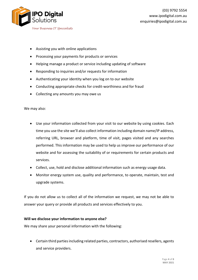

- Assisting you with online applications
- Processing your payments for products or services
- Helping manage a product or service including updating of software
- Responding to inquiries and/or requests for information
- Authenticating your identity when you log on to our website
- Conducting appropriate checks for credit-worthiness and for fraud
- Collecting any amounts you may owe us

We may also:

- Use your information collected from your visit to our website by using cookies. Each time you use the site we'll also collect information including domain name/IP address, referring URL, browser and platform, time of visit, pages visited and any searches performed. This information may be used to help us improve our performance of our website and for assessing the suitability of or requirements for certain products and services.
- Collect, use, hold and disclose additional information such as energy usage data.
- Monitor energy system use, quality and performance, to operate, maintain, test and upgrade systems.

If you do not allow us to collect all of the information we request, we may not be able to answer your query or provide all products and services effectively to you.

# **Will we disclose your information to anyone else?**

We may share your personal information with the following:

• Certain third parties including related parties, contractors, authorised resellers, agents and service providers.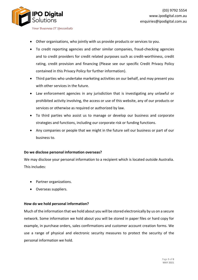

- Other organisations, who jointly with us provide products or services to you.
- To credit reporting agencies and other similar companies, fraud-checking agencies and to credit providers for credit related purposes such as credit-worthiness, credit rating, credit provision and financing (Please see our specific Credit Privacy Policy contained in this Privacy Policy for further information).
- Third parties who undertake marketing activities on our behalf, and may present you with other services in the future.
- Law enforcement agencies in any jurisdiction that is investigating any unlawful or prohibited activity involving, the access or use of this website, any of our products or services or otherwise as required or authorized by law.
- To third parties who assist us to manage or develop our business and corporate strategies and functions, including our corporate risk or funding functions.
- Any companies or people that we might in the future sell our business or part of our business to.

#### **Do we disclose personal information overseas?**

We may disclose your personal information to a recipient which is located outside Australia. This includes:

- Partner organizations.
- Overseas suppliers.

#### **How do we hold personal information?**

Much of the information that we hold about you will be stored electronically by us on a secure network. Some information we hold about you will be stored in paper files or hard copy for example, in purchase orders, sales confirmations and customer account creation forms. We use a range of physical and electronic security measures to protect the security of the personal information we hold.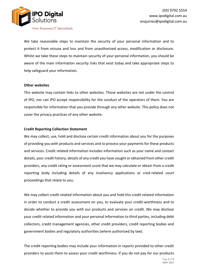

We take reasonable steps to maintain the security of your personal information and to protect it from misuse and loss and from unauthorized access, modification or disclosure. Whilst we take these steps to maintain security of your personal information, you should be aware of the main information security risks that exist today and take appropriate steps to help safeguard your information.

## **Other websites**

This website may contain links to other websites. Those websites are not under the control of IPO, nor can IPO accept responsibility for the conduct of the operators of them. You are responsible for information that you provide through any other website. This policy does not cover the privacy practices of any other website.

## **Credit Reporting Collection Statement**

We may collect, use, hold and disclose certain credit information about you for the purposes of providing you with products and services and to process your payments for these products and services. Credit related information includes information such as your name and contact details, your credit history, details of any credit you have sought or obtained from other credit providers, any credit rating or assessment score that we may calculate or obtain from a credit reporting body including details of any insolvency applications or cred-related court proceedings that relate to you.

We may collect credit related information about you and hold this credit related information in order to conduct a credit assessment on you, to evaluate your credit-worthiness and to decide whether to provide you with our products and services on credit. We may disclose your credit related information and your personal information to third parties, including debt collectors, credit management agencies, other credit providers, credit reporting bodies and government bodies and regulatory authorities (where authorized by law).

The credit reporting bodies may include your information in reports provided to other credit providers to assist them to assess your credit worthiness. If you do not pay for our products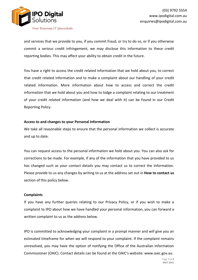

and services that we provide to you, if you commit fraud, or try to do so, or if you otherwise commit a serious credit infringement, we may disclose this information to these credit reporting bodies. This may affect your ability to obtain credit in the future.

You have a right to access the credit related information that we hold about you, to correct that credit related information and to make a complaint about our handling of your credit related information. More information about how to access and correct the credit information that we hold about you and how to lodge a complaint relating to our treatment of your credit related information (and how we deal with it) can be found in our Credit Reporting Policy.

## **Access to and changes to your Personal Information**

We take all reasonable steps to ensure that the personal information we collect is accurate and up to date.

You can request access to the personal information we hold about you. You can also ask for corrections to be made. For example, if any of the information that you have provided to us has changed such as your contact details you may contact us to correct the information. Please provide to us any changes by writing to us at the address set out in **How to contact us** section of this policy below.

#### **Complaints**

If you have any further queries relating to our Privacy Policy, or if you wish to make a complaint to IPO about how we have handled your personal information, you can forward a written complaint to us as the address below.

IPO is committed to acknowledging your complaint in a prompt manner and will give you an estimated timeframe for when we will respond to your complaint. If the complaint remains unresolved, you may have the option of notifying the Office of the Australian Information Commissioner (OAIC). Contact details can be found at the OAIC's website: www.oaic.gov.au.